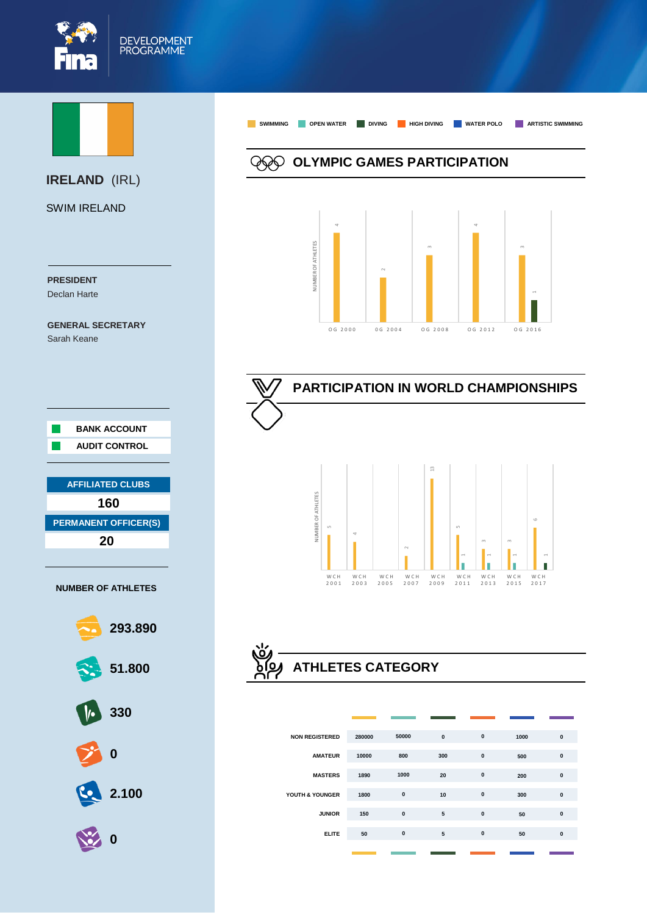